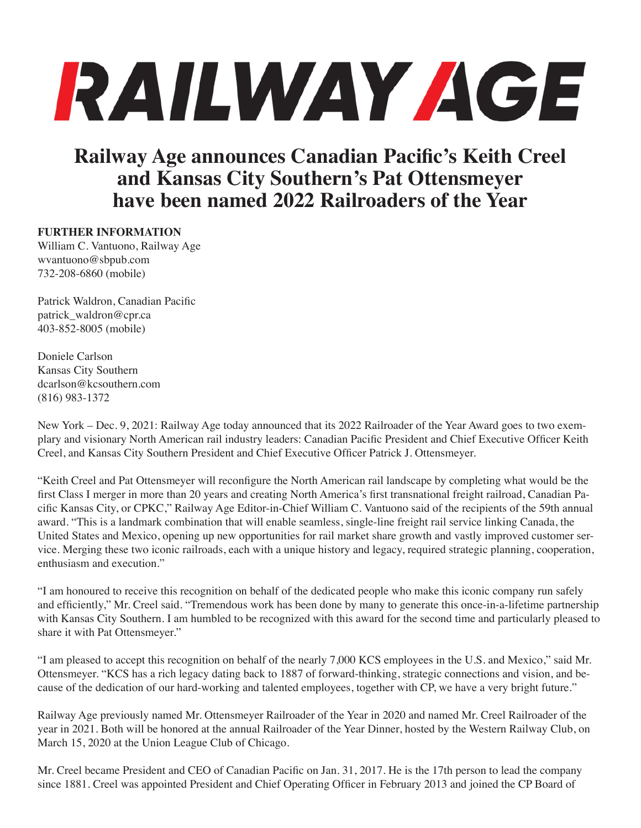## RAILWAY AGE

**Railway Age announces Canadian Pacific's Keith Creel and Kansas City Southern's Pat Ottensmeyer have been named 2022 Railroaders of the Year**

## **FURTHER INFORMATION**

William C. Vantuono, Railway Age wvantuono@sbpub.com 732-208-6860 (mobile)

Patrick Waldron, Canadian Pacific patrick\_waldron@cpr.ca 403-852-8005 (mobile)

Doniele Carlson Kansas City Southern dcarlson@kcsouthern.com (816) 983-1372

New York – Dec. 9, 2021: Railway Age today announced that its 2022 Railroader of the Year Award goes to two exemplary and visionary North American rail industry leaders: Canadian Pacific President and Chief Executive Officer Keith Creel, and Kansas City Southern President and Chief Executive Officer Patrick J. Ottensmeyer.

"Keith Creel and Pat Ottensmeyer will reconfigure the North American rail landscape by completing what would be the first Class I merger in more than 20 years and creating North America's first transnational freight railroad, Canadian Pacific Kansas City, or CPKC," Railway Age Editor-in-Chief William C. Vantuono said of the recipients of the 59th annual award. "This is a landmark combination that will enable seamless, single-line freight rail service linking Canada, the United States and Mexico, opening up new opportunities for rail market share growth and vastly improved customer service. Merging these two iconic railroads, each with a unique history and legacy, required strategic planning, cooperation, enthusiasm and execution."

"I am honoured to receive this recognition on behalf of the dedicated people who make this iconic company run safely and efficiently," Mr. Creel said. "Tremendous work has been done by many to generate this once-in-a-lifetime partnership with Kansas City Southern. I am humbled to be recognized with this award for the second time and particularly pleased to share it with Pat Ottensmeyer."

"I am pleased to accept this recognition on behalf of the nearly 7,000 KCS employees in the U.S. and Mexico," said Mr. Ottensmeyer. "KCS has a rich legacy dating back to 1887 of forward-thinking, strategic connections and vision, and because of the dedication of our hard-working and talented employees, together with CP, we have a very bright future."

Railway Age previously named Mr. Ottensmeyer Railroader of the Year in 2020 and named Mr. Creel Railroader of the year in 2021. Both will be honored at the annual Railroader of the Year Dinner, hosted by the Western Railway Club, on March 15, 2020 at the Union League Club of Chicago.

Mr. Creel became President and CEO of Canadian Pacific on Jan. 31, 2017. He is the 17th person to lead the company since 1881. Creel was appointed President and Chief Operating Officer in February 2013 and joined the CP Board of